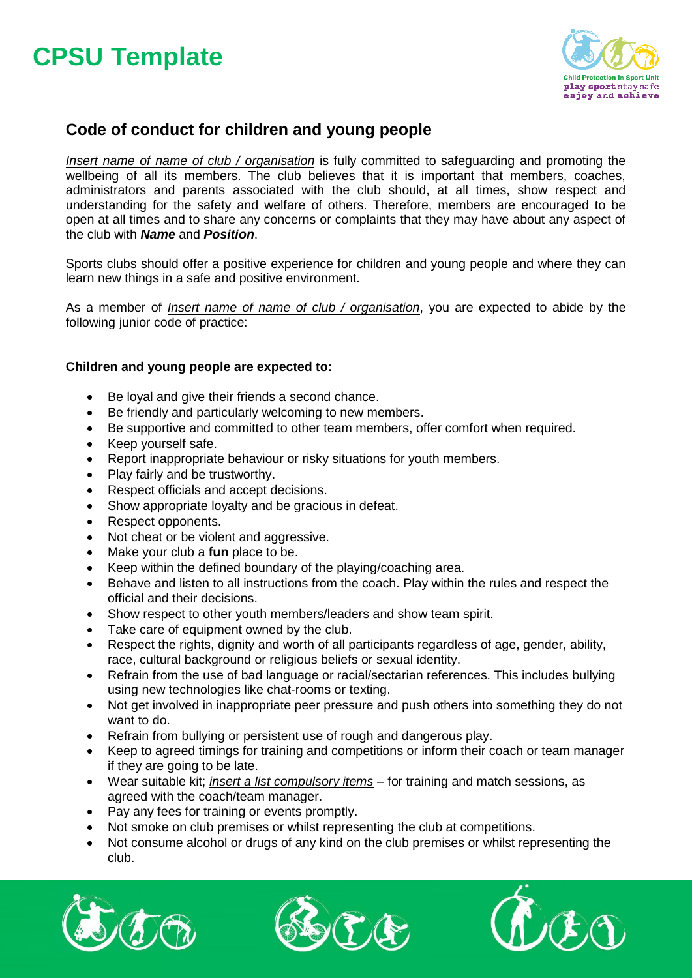# **CPSU Template**



### **Code of conduct for children and young people**

*Insert name of name of club / organisation* is fully committed to safeguarding and promoting the wellbeing of all its members. The club believes that it is important that members, coaches, administrators and parents associated with the club should, at all times, show respect and understanding for the safety and welfare of others. Therefore, members are encouraged to be open at all times and to share any concerns or complaints that they may have about any aspect of the club with *Name* and *Position*.

Sports clubs should offer a positive experience for children and young people and where they can learn new things in a safe and positive environment.

As a member of *Insert name of name of club / organisation*, you are expected to abide by the following junior code of practice:

#### **Children and young people are expected to:**

- Be loyal and give their friends a second chance.
- Be friendly and particularly welcoming to new members.
- Be supportive and committed to other team members, offer comfort when required.
- Keep yourself safe.
- Report inappropriate behaviour or risky situations for youth members.
- Play fairly and be trustworthy.
- Respect officials and accept decisions.
- Show appropriate loyalty and be gracious in defeat.
- Respect opponents.
- Not cheat or be violent and aggressive.
- Make your club a **fun** place to be.
- Keep within the defined boundary of the playing/coaching area.
- Behave and listen to all instructions from the coach. Play within the rules and respect the official and their decisions.
- Show respect to other youth members/leaders and show team spirit.
- Take care of equipment owned by the club.
- Respect the rights, dignity and worth of all participants regardless of age, gender, ability, race, cultural background or religious beliefs or sexual identity.
- Refrain from the use of bad language or racial/sectarian references. This includes bullying using new technologies like chat-rooms or texting.
- Not get involved in inappropriate peer pressure and push others into something they do not want to do.
- Refrain from bullying or persistent use of rough and dangerous play.
- Keep to agreed timings for training and competitions or inform their coach or team manager if they are going to be late.
- Wear suitable kit; *insert a list compulsory items* for training and match sessions, as agreed with the coach/team manager.
- Pay any fees for training or events promptly.
- Not smoke on club premises or whilst representing the club at competitions.
- Not consume alcohol or drugs of any kind on the club premises or whilst representing the club.